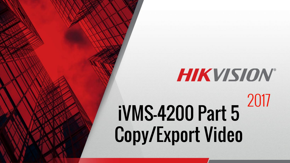# **HIKVISION®** 2017 iVMS-4200 Part 5 Copy/Export Video

© 2015 Hikvision USA Inc. All Rights Reserved. Confidential and Proprietary.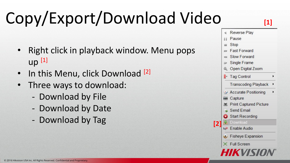# Copy/Export/Download Video

- Right click in playback window. Menu pops  $up<sup>[1]</sup>$
- In this Menu, click Download <sup>[2]</sup>
- Three ways to download:
	- Download by File
	- Download by Date
	- Download by Tag

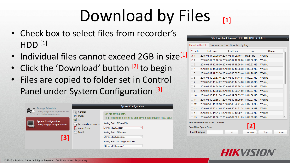### Download by Files **[1]**

- Check box to select files from recorder's  $HDD<sup>[1]</sup>$
- Individual files cannot exceed 2GB in size<sup>[1]</sup>
- Click the 'Download' button [2] to begin
- Files are copied to folder set in Control Panel under System Configuration [3]



#### File Download(Camera1 COI DS-9016HQHI-SH)

#### Download by Files Download by Date Download by Tag

| ▪              | Index                 | <b>Start Time</b> |                                                     | <b>End Time</b> |  | <b>Size</b> |                | <b>Status</b> |        |
|----------------|-----------------------|-------------------|-----------------------------------------------------|-----------------|--|-------------|----------------|---------------|--------|
| $\checkmark$ 1 |                       |                   | 2016-03-17 00:00:00 2016-03-17 08:10:13 879.51 MB   |                 |  |             | Waiting        |               |        |
| $\sqrt{2}$     |                       |                   | 2016-03-17 08:10:13 2016-03-17 12:19:00 1.012.30 MB |                 |  |             | Waiting        |               |        |
| $\Box$ 3       |                       |                   | 2016-03-17 12:19:00 2016-03-17 15:28:08 1,012.83 MB |                 |  |             | Waiting        |               |        |
| $\Box$ 4       |                       |                   | 2016-03-17 15:28:08 2016-03-17 19:33:36 1,012.80 MB |                 |  |             | Waiting        |               |        |
| $\Box$ 5       |                       |                   | 2016-03-17 19:33:36 2016-03-18 06:53:46 1,011.70 MB |                 |  |             | Waiting        |               |        |
| $\Box$ 6       |                       |                   | 2016-03-18 06:53:46 2016-03-18 11:44:07 1,012.27 MB |                 |  |             | Waiting        |               |        |
| $\Box$ 7       |                       |                   | 2016-03-18 11:44:07 2016-03-18 14:34:06 1,012.73 MB |                 |  |             | Waiting        |               |        |
| □              | 8                     |                   | 2016-03-18 14:34:06 2016-03-18 17:39:25 1,012.84 MB |                 |  |             | Waiting        |               |        |
| n              | 9                     |                   | 2016-03-18 17:39:25 2016-03-18 22:21:50 1.012.67 MB |                 |  |             | Waiting        |               |        |
|                | $\Box$ 10             |                   | 2016-03-18 22:21:50 2016-03-19 09:55:37 1,011.38 MB |                 |  |             | Waiting        |               |        |
|                | $\Box$ 11             |                   | 2016-03-19 09:55:37 2016-03-19 15:09:56 1,012.27 MB |                 |  |             | Waiting        |               |        |
|                | 12                    |                   | 2016-03-19 15:09:56 2016-03-19 22:41:45 1,012.30 MB |                 |  |             | Waiting        |               |        |
|                | 13                    |                   | 2016-03-19 22:41:45 2016-03-20 11:21:34 1,011.46 MB |                 |  |             | Waiting        |               |        |
|                | $\Box$ 14             |                   | 2016-03-20 11:21:34 2016-03-20 19:38:17 1,012.33 MB |                 |  |             | Waiting        |               |        |
|                | $\Box$ 15             |                   | 2016-03-20 19:38:17 2016-03-21 08:11:05 1 011 39 MR |                 |  |             | <b>Waiting</b> |               |        |
|                |                       |                   | The Selected Files Size: 1.85 GB                    |                 |  |             |                |               |        |
|                | Free Disk Space Size: |                   |                                                     |                 |  |             |                |               |        |
|                | Flow Ctrl(kbps):      |                   |                                                     | Set             |  | Download    | <b>Stop</b>    |               | Cancel |

### HIKVISI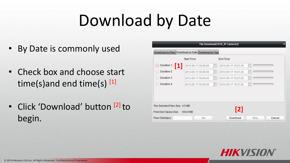## Download by Date

- By Date is commonly used
- Check box and choose start time(s) and end time(s)  $[1]$
- Click 'Download' button [2] to begin.

|                                 |                                                    |     | File Download(7616 IP Camera2) |      |        |
|---------------------------------|----------------------------------------------------|-----|--------------------------------|------|--------|
|                                 | Download by Files Download by Date Download by Tag |     |                                |      |        |
|                                 | Start Time                                         |     | End Time                       |      |        |
| Duration 1                      | 2013-05-17 00:00:00<br>Ш                           | 國   | 2013-05-17 16:21:20            | 昆    |        |
| Duration 2                      | 2013-05-17 00:00:00                                | 鬯   | 2013-05-17 16:21:20            | 閊    |        |
| Duration 3                      | 2013-05-17 00:00:00                                | is. | 2013-05-17 16:21:20            | 問    |        |
| Duration 4                      | 2013-05-17 00:00:00                                | B   | 2013-05-17 16:21:20            | E)   |        |
|                                 |                                                    |     |                                |      |        |
|                                 |                                                    |     |                                |      |        |
| The Selected Files Size: 4.5 MB |                                                    |     |                                |      |        |
| Free Disk Space Size:           | 654.9 MB                                           |     | [2]                            |      |        |
| Flow Ctrl(kbps):                | Set                                                |     | Download                       | Stop | Cancel |